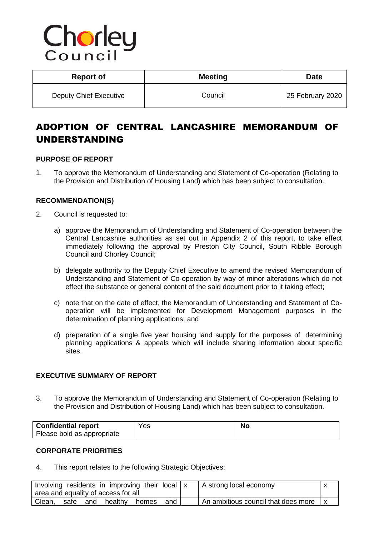# Chorley

| <b>Report of</b>       | <b>Meeting</b> | <b>Date</b>      |
|------------------------|----------------|------------------|
| Deputy Chief Executive | Council        | 25 February 2020 |

# ADOPTION OF CENTRAL LANCASHIRE MEMORANDUM OF UNDERSTANDING

# **PURPOSE OF REPORT**

1. To approve the Memorandum of Understanding and Statement of Co-operation (Relating to the Provision and Distribution of Housing Land) which has been subject to consultation.

# **RECOMMENDATION(S)**

- 2. Council is requested to:
	- a) approve the Memorandum of Understanding and Statement of Co-operation between the Central Lancashire authorities as set out in Appendix 2 of this report, to take effect immediately following the approval by Preston City Council, South Ribble Borough Council and Chorley Council;
	- b) delegate authority to the Deputy Chief Executive to amend the revised Memorandum of Understanding and Statement of Co-operation by way of minor alterations which do not effect the substance or general content of the said document prior to it taking effect;
	- c) note that on the date of effect, the Memorandum of Understanding and Statement of Cooperation will be implemented for Development Management purposes in the determination of planning applications; and
	- d) preparation of a single five year housing land supply for the purposes of determining planning applications & appeals which will include sharing information about specific sites.

# **EXECUTIVE SUMMARY OF REPORT**

3. To approve the Memorandum of Understanding and Statement of Co-operation (Relating to the Provision and Distribution of Housing Land) which has been subject to consultation.

| <b>Confidential report</b> | ⊻es | No |
|----------------------------|-----|----|
| Please bold as appropriate |     |    |

# **CORPORATE PRIORITIES**

4. This report relates to the following Strategic Objectives:

|        |      |     | Involving residents in improving their local   x |       |     | A strong local economy              |  |
|--------|------|-----|--------------------------------------------------|-------|-----|-------------------------------------|--|
|        |      |     | area and equality of access for all              |       |     |                                     |  |
| Clean, | safe | and | healthy                                          | homes | and | An ambitious council that does more |  |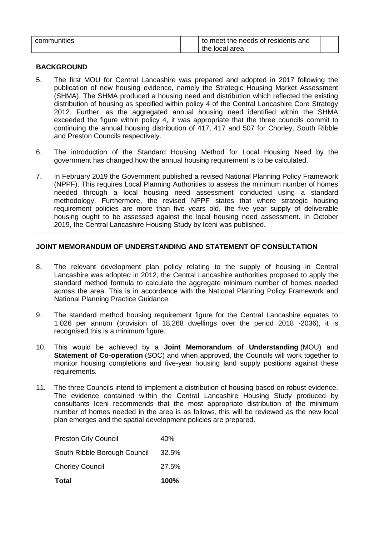| communities |  | to meet the needs of residents and |  |
|-------------|--|------------------------------------|--|
|             |  | the local area                     |  |

# **BACKGROUND**

- 5. The first MOU for Central Lancashire was prepared and adopted in 2017 following the publication of new housing evidence, namely the Strategic Housing Market Assessment (SHMA). The SHMA produced a housing need and distribution which reflected the existing distribution of housing as specified within policy 4 of the Central Lancashire Core Strategy 2012. Further, as the aggregated annual housing need identified within the SHMA exceeded the figure within policy 4, it was appropriate that the three councils commit to continuing the annual housing distribution of 417, 417 and 507 for Chorley, South Ribble and Preston Councils respectively.
- 6. The introduction of the Standard Housing Method for Local Housing Need by the government has changed how the annual housing requirement is to be calculated.
- 7. In February 2019 the Government published a revised National Planning Policy Framework (NPPF). This requires Local Planning Authorities to assess the minimum number of homes needed through a local housing need assessment conducted using a standard methodology. Furthermore, the revised NPPF states that where strategic housing requirement policies are more than five years old, the five year supply of deliverable housing ought to be assessed against the local housing need assessment. In October 2019, the Central Lancashire Housing Study by Iceni was published.

# **JOINT MEMORANDUM OF UNDERSTANDING AND STATEMENT OF CONSULTATION**

- 8. The relevant development plan policy relating to the supply of housing in Central Lancashire was adopted in 2012, the Central Lancashire authorities proposed to apply the standard method formula to calculate the aggregate minimum number of homes needed across the area. This is in accordance with the National Planning Policy Framework and National Planning Practice Guidance.
- 9. The standard method housing requirement figure for the Central Lancashire equates to 1,026 per annum (provision of 18,268 dwellings over the period 2018 -2036), it is recognised this is a minimum figure.
- 10. This would be achieved by a **Joint Memorandum of Understanding** (MOU) and **Statement of Co-operation** (SOC) and when approved, the Councils will work together to monitor housing completions and five-year housing land supply positions against these requirements.
- 11. The three Councils intend to implement a distribution of housing based on robust evidence. The evidence contained within the Central Lancashire Housing Study produced by consultants Iceni recommends that the most appropriate distribution of the minimum number of homes needed in the area is as follows, this will be reviewed as the new local plan emerges and the spatial development policies are prepared.

| Total                        | 100%  |
|------------------------------|-------|
| <b>Chorley Council</b>       | 27.5% |
| South Ribble Borough Council | 32.5% |
| <b>Preston City Council</b>  | 40%   |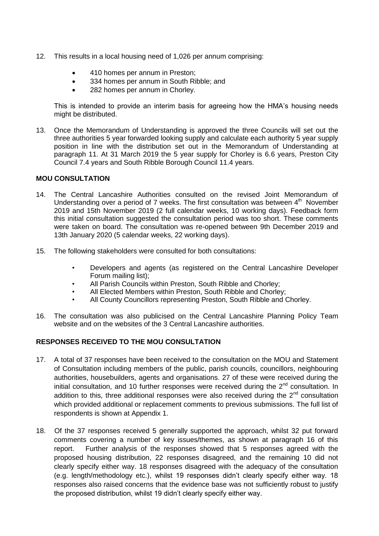- 12. This results in a local housing need of 1,026 per annum comprising:
	- 410 homes per annum in Preston;
	- 334 homes per annum in South Ribble; and
	- 282 homes per annum in Chorley.

This is intended to provide an interim basis for agreeing how the HMA's housing needs might be distributed.

13. Once the Memorandum of Understanding is approved the three Councils will set out the three authorities 5 year forwarded looking supply and calculate each authority 5 year supply position in line with the distribution set out in the Memorandum of Understanding at paragraph 11. At 31 March 2019 the 5 year supply for Chorley is 6.6 years, Preston City Council 7.4 years and South Ribble Borough Council 11.4 years.

# **MOU CONSULTATION**

- 14. The Central Lancashire Authorities consulted on the revised Joint Memorandum of Understanding over a period of 7 weeks. The first consultation was between  $4<sup>th</sup>$  November 2019 and 15th November 2019 (2 full calendar weeks, 10 working days). Feedback form this initial consultation suggested the consultation period was too short. These comments were taken on board. The consultation was re-opened between 9th December 2019 and 13th January 2020 (5 calendar weeks, 22 working days).
- 15. The following stakeholders were consulted for both consultations:
	- Developers and agents (as registered on the Central Lancashire Developer Forum mailing list);
	- All Parish Councils within Preston, South Ribble and Chorley;
	- All Elected Members within Preston, South Ribble and Chorley;
	- All County Councillors representing Preston, South Ribble and Chorley.
- 16. The consultation was also publicised on the Central Lancashire Planning Policy Team website and on the websites of the 3 Central Lancashire authorities.

# **RESPONSES RECEIVED TO THE MOU CONSULTATION**

- 17. A total of 37 responses have been received to the consultation on the MOU and Statement of Consultation including members of the public, parish councils, councillors, neighbouring authorities, housebuilders, agents and organisations. 27 of these were received during the initial consultation, and 10 further responses were received during the  $2^{nd}$  consultation. In addition to this, three additional responses were also received during the  $2<sup>nd</sup>$  consultation which provided additional or replacement comments to previous submissions. The full list of respondents is shown at Appendix 1.
- 18. Of the 37 responses received 5 generally supported the approach, whilst 32 put forward comments covering a number of key issues/themes, as shown at paragraph 16 of this report. Further analysis of the responses showed that 5 responses agreed with the proposed housing distribution, 22 responses disagreed, and the remaining 10 did not clearly specify either way. 18 responses disagreed with the adequacy of the consultation (e.g. length/methodology etc.), whilst 19 responses didn't clearly specify either way. 18 responses also raised concerns that the evidence base was not sufficiently robust to justify the proposed distribution, whilst 19 didn't clearly specify either way.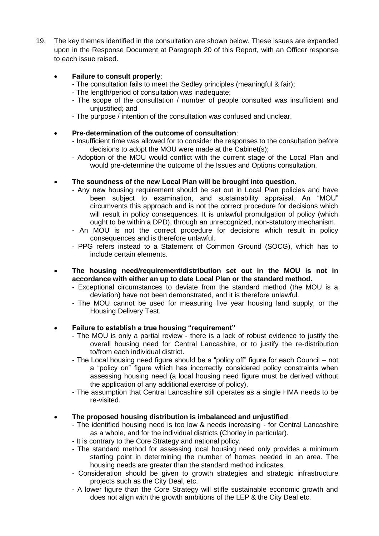19. The key themes identified in the consultation are shown below. These issues are expanded upon in the Response Document at Paragraph 20 of this Report, with an Officer response to each issue raised.

# **Failure to consult properly**:

- The consultation fails to meet the Sedley principles (meaningful & fair);
- The length/period of consultation was inadequate;
- The scope of the consultation / number of people consulted was insufficient and unjustified; and
- The purpose / intention of the consultation was confused and unclear.

# **Pre-determination of the outcome of consultation**:

- Insufficient time was allowed for to consider the responses to the consultation before decisions to adopt the MOU were made at the Cabinet(s);
- Adoption of the MOU would conflict with the current stage of the Local Plan and would pre-determine the outcome of the Issues and Options consultation.

# **The soundness of the new Local Plan will be brought into question.**

- Any new housing requirement should be set out in Local Plan policies and have been subject to examination, and sustainability appraisal. An "MOU" circumvents this approach and is not the correct procedure for decisions which will result in policy consequences. It is unlawful promulgation of policy (which ought to be within a DPD), through an unrecognized, non-statutory mechanism.
- An MOU is not the correct procedure for decisions which result in policy consequences and is therefore unlawful.
- PPG refers instead to a Statement of Common Ground (SOCG), which has to include certain elements.
- **The housing need/requirement/distribution set out in the MOU is not in accordance with either an up to date Local Plan or the standard method.**
	- Exceptional circumstances to deviate from the standard method (the MOU is a deviation) have not been demonstrated, and it is therefore unlawful.
	- The MOU cannot be used for measuring five year housing land supply, or the Housing Delivery Test.

# **Failure to establish a true housing "requirement"**

- The MOU is only a partial review there is a lack of robust evidence to justify the overall housing need for Central Lancashire, or to justify the re-distribution to/from each individual district.
- The Local housing need figure should be a "policy off" figure for each Council not a "policy on" figure which has incorrectly considered policy constraints when assessing housing need (a local housing need figure must be derived without the application of any additional exercise of policy).
- The assumption that Central Lancashire still operates as a single HMA needs to be re-visited.

# **The proposed housing distribution is imbalanced and unjustified**.

- The identified housing need is too low & needs increasing for Central Lancashire as a whole, and for the individual districts (Chorley in particular).
- It is contrary to the Core Strategy and national policy.
- The standard method for assessing local housing need only provides a minimum starting point in determining the number of homes needed in an area. The housing needs are greater than the standard method indicates.
- Consideration should be given to growth strategies and strategic infrastructure projects such as the City Deal, etc.
- A lower figure than the Core Strategy will stifle sustainable economic growth and does not align with the growth ambitions of the LEP & the City Deal etc.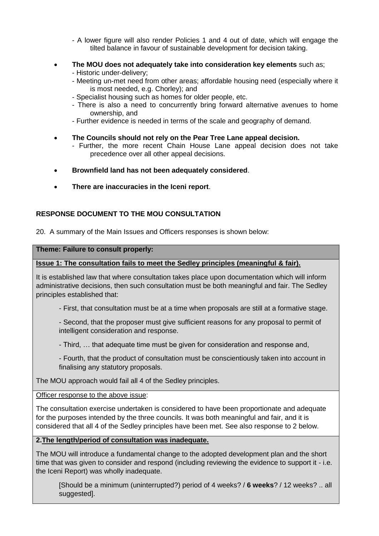- A lower figure will also render Policies 1 and 4 out of date, which will engage the tilted balance in favour of sustainable development for decision taking.
- **The MOU does not adequately take into consideration key elements** such as;
	- Historic under-delivery;
	- Meeting un-met need from other areas; affordable housing need (especially where it is most needed, e.g. Chorley); and
	- Specialist housing such as homes for older people, etc.
	- There is also a need to concurrently bring forward alternative avenues to home ownership, and
	- Further evidence is needed in terms of the scale and geography of demand.
- **The Councils should not rely on the Pear Tree Lane appeal decision.**
	- Further, the more recent Chain House Lane appeal decision does not take precedence over all other appeal decisions.
- **Brownfield land has not been adequately considered**.
- **There are inaccuracies in the Iceni report**.

# **RESPONSE DOCUMENT TO THE MOU CONSULTATION**

20. A summary of the Main Issues and Officers responses is shown below:

# **Theme: Failure to consult properly:**

# **Issue 1: The consultation fails to meet the Sedley principles (meaningful & fair).**

It is established law that where consultation takes place upon documentation which will inform administrative decisions, then such consultation must be both meaningful and fair. The Sedley principles established that:

- First, that consultation must be at a time when proposals are still at a formative stage.

- Second, that the proposer must give sufficient reasons for any proposal to permit of intelligent consideration and response.

- Third, … that adequate time must be given for consideration and response and,

- Fourth, that the product of consultation must be conscientiously taken into account in finalising any statutory proposals.

The MOU approach would fail all 4 of the Sedley principles.

Officer response to the above issue:

The consultation exercise undertaken is considered to have been proportionate and adequate for the purposes intended by the three councils. It was both meaningful and fair, and it is considered that all 4 of the Sedley principles have been met. See also response to 2 below.

# **2.The length/period of consultation was inadequate.**

The MOU will introduce a fundamental change to the adopted development plan and the short time that was given to consider and respond (including reviewing the evidence to support it - i.e. the Iceni Report) was wholly inadequate.

[Should be a minimum (uninterrupted?) period of 4 weeks? / **6 weeks**? / 12 weeks? .. all suggested].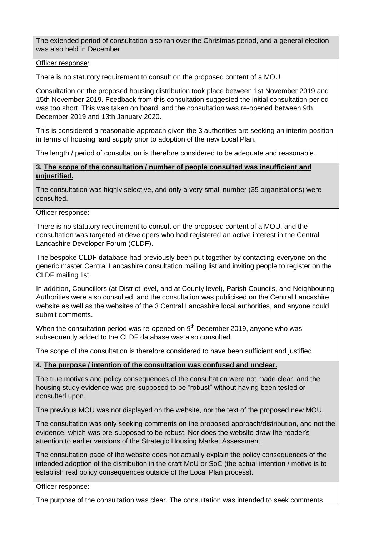The extended period of consultation also ran over the Christmas period, and a general election was also held in December.

### Officer response:

There is no statutory requirement to consult on the proposed content of a MOU.

Consultation on the proposed housing distribution took place between 1st November 2019 and 15th November 2019. Feedback from this consultation suggested the initial consultation period was too short. This was taken on board, and the consultation was re-opened between 9th December 2019 and 13th January 2020.

This is considered a reasonable approach given the 3 authorities are seeking an interim position in terms of housing land supply prior to adoption of the new Local Plan.

The length / period of consultation is therefore considered to be adequate and reasonable.

# **3. The scope of the consultation / number of people consulted was insufficient and unjustified.**

The consultation was highly selective, and only a very small number (35 organisations) were consulted.

# Officer response:

There is no statutory requirement to consult on the proposed content of a MOU, and the consultation was targeted at developers who had registered an active interest in the Central Lancashire Developer Forum (CLDF).

The bespoke CLDF database had previously been put together by contacting everyone on the generic master Central Lancashire consultation mailing list and inviting people to register on the CLDF mailing list.

In addition, Councillors (at District level, and at County level), Parish Councils, and Neighbouring Authorities were also consulted, and the consultation was publicised on the Central Lancashire website as well as the websites of the 3 Central Lancashire local authorities, and anyone could submit comments.

When the consultation period was re-opened on  $9<sup>th</sup>$  December 2019, anyone who was subsequently added to the CLDF database was also consulted.

The scope of the consultation is therefore considered to have been sufficient and justified.

# **4. The purpose / intention of the consultation was confused and unclear.**

The true motives and policy consequences of the consultation were not made clear, and the housing study evidence was pre-supposed to be "robust" without having been tested or consulted upon.

The previous MOU was not displayed on the website, nor the text of the proposed new MOU.

The consultation was only seeking comments on the proposed approach/distribution, and not the evidence, which was pre-supposed to be robust. Nor does the website draw the reader's attention to earlier versions of the Strategic Housing Market Assessment.

The consultation page of the website does not actually explain the policy consequences of the intended adoption of the distribution in the draft MoU or SoC (the actual intention / motive is to establish real policy consequences outside of the Local Plan process).

Officer response:

The purpose of the consultation was clear. The consultation was intended to seek comments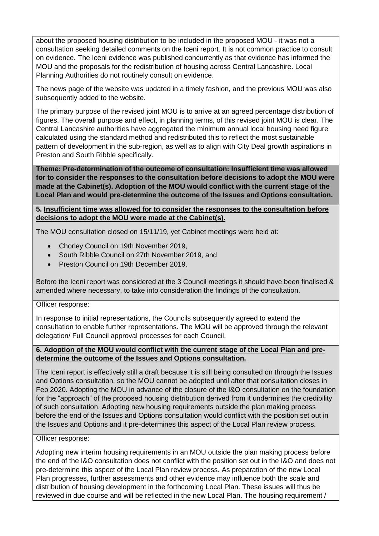about the proposed housing distribution to be included in the proposed MOU - it was not a consultation seeking detailed comments on the Iceni report. It is not common practice to consult on evidence. The Iceni evidence was published concurrently as that evidence has informed the MOU and the proposals for the redistribution of housing across Central Lancashire. Local Planning Authorities do not routinely consult on evidence.

The news page of the website was updated in a timely fashion, and the previous MOU was also subsequently added to the website.

The primary purpose of the revised joint MOU is to arrive at an agreed percentage distribution of figures. The overall purpose and effect, in planning terms, of this revised joint MOU is clear. The Central Lancashire authorities have aggregated the minimum annual local housing need figure calculated using the standard method and redistributed this to reflect the most sustainable pattern of development in the sub-region, as well as to align with City Deal growth aspirations in Preston and South Ribble specifically.

**Theme: Pre-determination of the outcome of consultation: Insufficient time was allowed for to consider the responses to the consultation before decisions to adopt the MOU were made at the Cabinet(s). Adoption of the MOU would conflict with the current stage of the Local Plan and would pre-determine the outcome of the Issues and Options consultation.**

**5. Insufficient time was allowed for to consider the responses to the consultation before decisions to adopt the MOU were made at the Cabinet(s).**

The MOU consultation closed on 15/11/19, yet Cabinet meetings were held at:

- Chorley Council on 19th November 2019,
- South Ribble Council on 27th November 2019, and
- Preston Council on 19th December 2019.

Before the Iceni report was considered at the 3 Council meetings it should have been finalised & amended where necessary, to take into consideration the findings of the consultation.

# Officer response:

In response to initial representations, the Councils subsequently agreed to extend the consultation to enable further representations. The MOU will be approved through the relevant delegation/ Full Council approval processes for each Council.

# **6. Adoption of the MOU would conflict with the current stage of the Local Plan and predetermine the outcome of the Issues and Options consultation.**

The Iceni report is effectively still a draft because it is still being consulted on through the Issues and Options consultation, so the MOU cannot be adopted until after that consultation closes in Feb 2020. Adopting the MOU in advance of the closure of the I&O consultation on the foundation for the "approach" of the proposed housing distribution derived from it undermines the credibility of such consultation. Adopting new housing requirements outside the plan making process before the end of the Issues and Options consultation would conflict with the position set out in the Issues and Options and it pre-determines this aspect of the Local Plan review process.

### Officer response:

Adopting new interim housing requirements in an MOU outside the plan making process before the end of the I&O consultation does not conflict with the position set out in the I&O and does not pre-determine this aspect of the Local Plan review process. As preparation of the new Local Plan progresses, further assessments and other evidence may influence both the scale and distribution of housing development in the forthcoming Local Plan. These issues will thus be reviewed in due course and will be reflected in the new Local Plan. The housing requirement /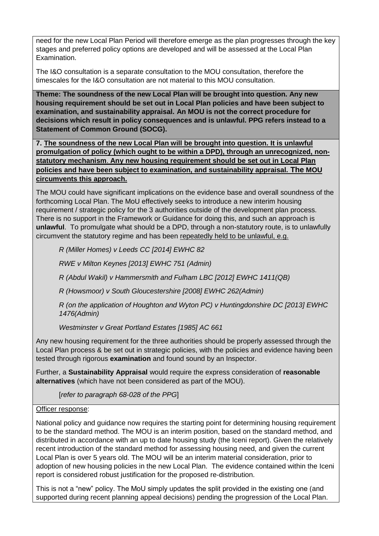need for the new Local Plan Period will therefore emerge as the plan progresses through the key stages and preferred policy options are developed and will be assessed at the Local Plan Examination.

The I&O consultation is a separate consultation to the MOU consultation, therefore the timescales for the I&O consultation are not material to this MOU consultation.

**Theme: The soundness of the new Local Plan will be brought into question. Any new housing requirement should be set out in Local Plan policies and have been subject to examination, and sustainability appraisal. An MOU is not the correct procedure for decisions which result in policy consequences and is unlawful. PPG refers instead to a Statement of Common Ground (SOCG).**

**7. The soundness of the new Local Plan will be brought into question. It is unlawful promulgation of policy (which ought to be within a DPD), through an unrecognized, nonstatutory mechanism**. **Any new housing requirement should be set out in Local Plan policies and have been subject to examination, and sustainability appraisal. The MOU circumvents this approach.**

The MOU could have significant implications on the evidence base and overall soundness of the forthcoming Local Plan. The MoU effectively seeks to introduce a new interim housing requirement / strategic policy for the 3 authorities outside of the development plan process. There is no support in the Framework or Guidance for doing this, and such an approach is **unlawful**. To promulgate what should be a DPD, through a non-statutory route, is to unlawfully circumvent the statutory regime and has been repeatedly held to be unlawful, e.g.

*R (Miller Homes) v Leeds CC [2014] EWHC 82*

*RWE v Milton Keynes [2013] EWHC 751 (Admin)*

*R (Abdul Wakil) v Hammersmith and Fulham LBC [2012] EWHC 1411(QB)*

*R (Howsmoor) v South Gloucestershire [2008] EWHC 262(Admin)*

*R (on the application of Houghton and Wyton PC) v Huntingdonshire DC [2013] EWHC 1476(Admin)*

*Westminster v Great Portland Estates [1985] AC 661*

Any new housing requirement for the three authorities should be properly assessed through the Local Plan process & be set out in strategic policies, with the policies and evidence having been tested through rigorous **examination** and found sound by an Inspector.

Further, a **Sustainability Appraisal** would require the express consideration of **reasonable alternatives** (which have not been considered as part of the MOU).

[*refer to paragraph 68-028 of the PPG*]

# Officer response:

National policy and guidance now requires the starting point for determining housing requirement to be the standard method. The MOU is an interim position, based on the standard method, and distributed in accordance with an up to date housing study (the Iceni report). Given the relatively recent introduction of the standard method for assessing housing need, and given the current Local Plan is over 5 years old. The MOU will be an interim material consideration, prior to adoption of new housing policies in the new Local Plan. The evidence contained within the Iceni report is considered robust justification for the proposed re-distribution.

This is not a "new" policy. The MoU simply updates the split provided in the existing one (and supported during recent planning appeal decisions) pending the progression of the Local Plan.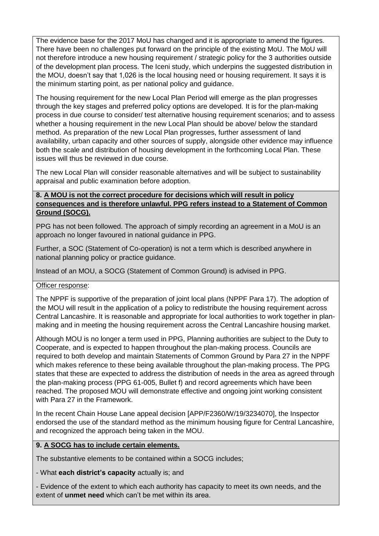The evidence base for the 2017 MoU has changed and it is appropriate to amend the figures. There have been no challenges put forward on the principle of the existing MoU. The MoU will not therefore introduce a new housing requirement / strategic policy for the 3 authorities outside of the development plan process. The Iceni study, which underpins the suggested distribution in the MOU, doesn't say that 1,026 is the local housing need or housing requirement. It says it is the minimum starting point, as per national policy and guidance.

The housing requirement for the new Local Plan Period will emerge as the plan progresses through the key stages and preferred policy options are developed. It is for the plan-making process in due course to consider/ test alternative housing requirement scenarios; and to assess whether a housing requirement in the new Local Plan should be above/ below the standard method. As preparation of the new Local Plan progresses, further assessment of land availability, urban capacity and other sources of supply, alongside other evidence may influence both the scale and distribution of housing development in the forthcoming Local Plan. These issues will thus be reviewed in due course.

The new Local Plan will consider reasonable alternatives and will be subject to sustainability appraisal and public examination before adoption.

# **8. A MOU is not the correct procedure for decisions which will result in policy consequences and is therefore unlawful. PPG refers instead to a Statement of Common Ground (SOCG).**

PPG has not been followed. The approach of simply recording an agreement in a MoU is an approach no longer favoured in national guidance in PPG.

Further, a SOC (Statement of Co-operation) is not a term which is described anywhere in national planning policy or practice guidance.

Instead of an MOU, a SOCG (Statement of Common Ground) is advised in PPG.

# Officer response:

The NPPF is supportive of the preparation of joint local plans (NPPF Para 17). The adoption of the MOU will result in the application of a policy to redistribute the housing requirement across Central Lancashire. It is reasonable and appropriate for local authorities to work together in planmaking and in meeting the housing requirement across the Central Lancashire housing market.

Although MOU is no longer a term used in PPG, Planning authorities are subject to the Duty to Cooperate, and is expected to happen throughout the plan-making process. Councils are required to both develop and maintain Statements of Common Ground by Para 27 in the NPPF which makes reference to these being available throughout the plan-making process. The PPG states that these are expected to address the distribution of needs in the area as agreed through the plan-making process (PPG 61-005, Bullet f) and record agreements which have been reached. The proposed MOU will demonstrate effective and ongoing joint working consistent with Para 27 in the Framework.

In the recent Chain House Lane appeal decision [APP/F2360/W/19/3234070], the Inspector endorsed the use of the standard method as the minimum housing figure for Central Lancashire, and recognized the approach being taken in the MOU.

# **9. A SOCG has to include certain elements.**

The substantive elements to be contained within a SOCG includes;

- What **each district's capacity** actually is; and

- Evidence of the extent to which each authority has capacity to meet its own needs, and the extent of **unmet need** which can't be met within its area.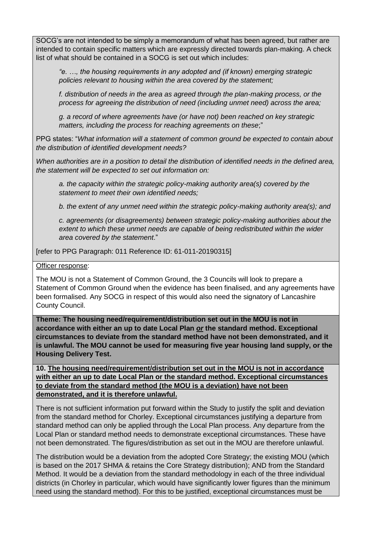SOCG's are not intended to be simply a memorandum of what has been agreed, but rather are intended to contain specific matters which are expressly directed towards plan-making. A check list of what should be contained in a SOCG is set out which includes:

*"e. …, the housing requirements in any adopted and (if known) emerging strategic policies relevant to housing within the area covered by the statement;*

*f. distribution of needs in the area as agreed through the plan-making process, or the process for agreeing the distribution of need (including unmet need) across the area;*

*g. a record of where agreements have (or have not) been reached on key strategic matters, including the process for reaching agreements on these*;"

PPG states: "*What information will a statement of common ground be expected to contain about the distribution of identified development needs?*

*When authorities are in a position to detail the distribution of identified needs in the defined area, the statement will be expected to set out information on:*

*a. the capacity within the strategic policy-making authority area(s) covered by the statement to meet their own identified needs;*

*b. the extent of any unmet need within the strategic policy-making authority area(s); and*

*c. agreements (or disagreements) between strategic policy-making authorities about the extent to which these unmet needs are capable of being redistributed within the wider area covered by the statement*."

[refer to PPG Paragraph: 011 Reference ID: 61-011-20190315]

### Officer response:

The MOU is not a Statement of Common Ground, the 3 Councils will look to prepare a Statement of Common Ground when the evidence has been finalised, and any agreements have been formalised. Any SOCG in respect of this would also need the signatory of Lancashire County Council.

**Theme: The housing need/requirement/distribution set out in the MOU is not in accordance with either an up to date Local Plan** *or* **the standard method. Exceptional circumstances to deviate from the standard method have not been demonstrated, and it is unlawful. The MOU cannot be used for measuring five year housing land supply, or the Housing Delivery Test.**

**10. The housing need/requirement/distribution set out in the MOU is not in accordance with either an up to date Local Plan or the standard method. Exceptional circumstances to deviate from the standard method (the MOU is a deviation) have not been demonstrated, and it is therefore unlawful.** 

There is not sufficient information put forward within the Study to justify the split and deviation from the standard method for Chorley. Exceptional circumstances justifying a departure from standard method can only be applied through the Local Plan process. Any departure from the Local Plan or standard method needs to demonstrate exceptional circumstances. These have not been demonstrated. The figures/distribution as set out in the MOU are therefore unlawful.

The distribution would be a deviation from the adopted Core Strategy; the existing MOU (which is based on the 2017 SHMA & retains the Core Strategy distribution); AND from the Standard Method. It would be a deviation from the standard methodology in each of the three individual districts (in Chorley in particular, which would have significantly lower figures than the minimum need using the standard method). For this to be justified, exceptional circumstances must be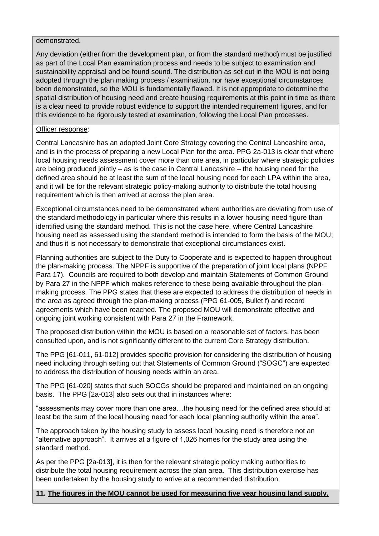### demonstrated.

Any deviation (either from the development plan, or from the standard method) must be justified as part of the Local Plan examination process and needs to be subject to examination and sustainability appraisal and be found sound. The distribution as set out in the MOU is not being adopted through the plan making process / examination, nor have exceptional circumstances been demonstrated, so the MOU is fundamentally flawed. It is not appropriate to determine the spatial distribution of housing need and create housing requirements at this point in time as there is a clear need to provide robust evidence to support the intended requirement figures, and for this evidence to be rigorously tested at examination, following the Local Plan processes.

# Officer response:

Central Lancashire has an adopted Joint Core Strategy covering the Central Lancashire area, and is in the process of preparing a new Local Plan for the area. PPG 2a-013 is clear that where local housing needs assessment cover more than one area, in particular where strategic policies are being produced jointly – as is the case in Central Lancashire – the housing need for the defined area should be at least the sum of the local housing need for each LPA within the area, and it will be for the relevant strategic policy-making authority to distribute the total housing requirement which is then arrived at across the plan area.

Exceptional circumstances need to be demonstrated where authorities are deviating from use of the standard methodology in particular where this results in a lower housing need figure than identified using the standard method. This is not the case here, where Central Lancashire housing need as assessed using the standard method is intended to form the basis of the MOU; and thus it is not necessary to demonstrate that exceptional circumstances exist.

Planning authorities are subject to the Duty to Cooperate and is expected to happen throughout the plan-making process. The NPPF is supportive of the preparation of joint local plans (NPPF Para 17). Councils are required to both develop and maintain Statements of Common Ground by Para 27 in the NPPF which makes reference to these being available throughout the planmaking process. The PPG states that these are expected to address the distribution of needs in the area as agreed through the plan-making process (PPG 61-005, Bullet f) and record agreements which have been reached. The proposed MOU will demonstrate effective and ongoing joint working consistent with Para 27 in the Framework.

The proposed distribution within the MOU is based on a reasonable set of factors, has been consulted upon, and is not significantly different to the current Core Strategy distribution.

The PPG [61-011, 61-012] provides specific provision for considering the distribution of housing need including through setting out that Statements of Common Ground ("SOGC") are expected to address the distribution of housing needs within an area.

The PPG [61-020] states that such SOCGs should be prepared and maintained on an ongoing basis. The PPG [2a-013] also sets out that in instances where:

"assessments may cover more than one area…the housing need for the defined area should at least be the sum of the local housing need for each local planning authority within the area".

The approach taken by the housing study to assess local housing need is therefore not an "alternative approach". It arrives at a figure of 1,026 homes for the study area using the standard method.

As per the PPG [2a-013], it is then for the relevant strategic policy making authorities to distribute the total housing requirement across the plan area. This distribution exercise has been undertaken by the housing study to arrive at a recommended distribution.

**11. The figures in the MOU cannot be used for measuring five year housing land supply.**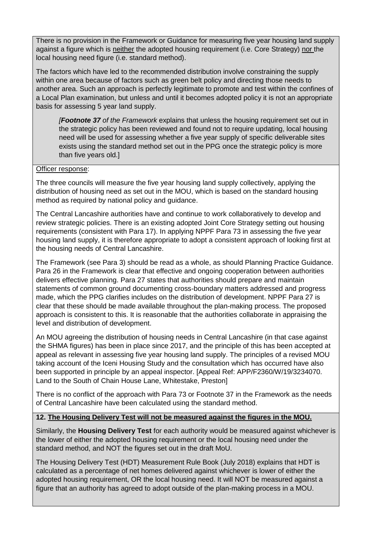There is no provision in the Framework or Guidance for measuring five year housing land supply against a figure which is neither the adopted housing requirement (i.e. Core Strategy) nor the local housing need figure (i.e. standard method).

The factors which have led to the recommended distribution involve constraining the supply within one area because of factors such as green belt policy and directing those needs to another area. Such an approach is perfectly legitimate to promote and test within the confines of a Local Plan examination, but unless and until it becomes adopted policy it is not an appropriate basis for assessing 5 year land supply.

*[Footnote 37 of the Framework* explains that unless the housing requirement set out in the strategic policy has been reviewed and found not to require updating, local housing need will be used for assessing whether a five year supply of specific deliverable sites exists using the standard method set out in the PPG once the strategic policy is more than five years old.]

# Officer response:

The three councils will measure the five year housing land supply collectively, applying the distribution of housing need as set out in the MOU, which is based on the standard housing method as required by national policy and guidance.

The Central Lancashire authorities have and continue to work collaboratively to develop and review strategic policies. There is an existing adopted Joint Core Strategy setting out housing requirements (consistent with Para 17). In applying NPPF Para 73 in assessing the five year housing land supply, it is therefore appropriate to adopt a consistent approach of looking first at the housing needs of Central Lancashire.

The Framework (see Para 3) should be read as a whole, as should Planning Practice Guidance. Para 26 in the Framework is clear that effective and ongoing cooperation between authorities delivers effective planning. Para 27 states that authorities should prepare and maintain statements of common ground documenting cross-boundary matters addressed and progress made, which the PPG clarifies includes on the distribution of development. NPPF Para 27 is clear that these should be made available throughout the plan-making process. The proposed approach is consistent to this. It is reasonable that the authorities collaborate in appraising the level and distribution of development.

An MOU agreeing the distribution of housing needs in Central Lancashire (in that case against the SHMA figures) has been in place since 2017, and the principle of this has been accepted at appeal as relevant in assessing five year housing land supply. The principles of a revised MOU taking account of the Iceni Housing Study and the consultation which has occurred have also been supported in principle by an appeal inspector. [Appeal Ref: APP/F2360/W/19/3234070. Land to the South of Chain House Lane, Whitestake, Preston]

There is no conflict of the approach with Para 73 or Footnote 37 in the Framework as the needs of Central Lancashire have been calculated using the standard method.

# **12. The Housing Delivery Test will not be measured against the figures in the MOU.**

Similarly, the **Housing Delivery Test** for each authority would be measured against whichever is the lower of either the adopted housing requirement or the local housing need under the standard method, and NOT the figures set out in the draft MoU.

The Housing Delivery Test (HDT) Measurement Rule Book (July 2018) explains that HDT is calculated as a percentage of net homes delivered against whichever is lower of either the adopted housing requirement, OR the local housing need. It will NOT be measured against a figure that an authority has agreed to adopt outside of the plan-making process in a MOU.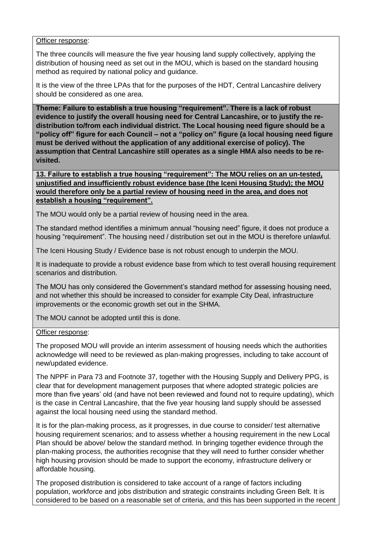### Officer response:

The three councils will measure the five year housing land supply collectively, applying the distribution of housing need as set out in the MOU, which is based on the standard housing method as required by national policy and guidance.

It is the view of the three LPAs that for the purposes of the HDT, Central Lancashire delivery should be considered as one area.

**Theme: Failure to establish a true housing "requirement". There is a lack of robust evidence to justify the overall housing need for Central Lancashire, or to justify the redistribution to/from each individual district. The Local housing need figure should be a "policy off" figure for each Council – not a "policy on" figure (a local housing need figure must be derived without the application of any additional exercise of policy). The assumption that Central Lancashire still operates as a single HMA also needs to be revisited.**

**13. Failure to establish a true housing "requirement": The MOU relies on an un-tested, unjustified and insufficiently robust evidence base (the Iceni Housing Study); the MOU would therefore only be a partial review of housing need in the area, and does not establish a housing "requirement".**

The MOU would only be a partial review of housing need in the area.

The standard method identifies a minimum annual "housing need" figure, it does not produce a housing "requirement". The housing need / distribution set out in the MOU is therefore unlawful.

The Iceni Housing Study / Evidence base is not robust enough to underpin the MOU.

It is inadequate to provide a robust evidence base from which to test overall housing requirement scenarios and distribution.

The MOU has only considered the Government's standard method for assessing housing need, and not whether this should be increased to consider for example City Deal, infrastructure improvements or the economic growth set out in the SHMA.

The MOU cannot be adopted until this is done.

# Officer response:

The proposed MOU will provide an interim assessment of housing needs which the authorities acknowledge will need to be reviewed as plan-making progresses, including to take account of new/updated evidence.

The NPPF in Para 73 and Footnote 37, together with the Housing Supply and Delivery PPG, is clear that for development management purposes that where adopted strategic policies are more than five years' old (and have not been reviewed and found not to require updating), which is the case in Central Lancashire, that the five year housing land supply should be assessed against the local housing need using the standard method.

It is for the plan-making process, as it progresses, in due course to consider/ test alternative housing requirement scenarios; and to assess whether a housing requirement in the new Local Plan should be above/ below the standard method. In bringing together evidence through the plan-making process, the authorities recognise that they will need to further consider whether high housing provision should be made to support the economy, infrastructure delivery or affordable housing.

The proposed distribution is considered to take account of a range of factors including population, workforce and jobs distribution and strategic constraints including Green Belt. It is considered to be based on a reasonable set of criteria, and this has been supported in the recent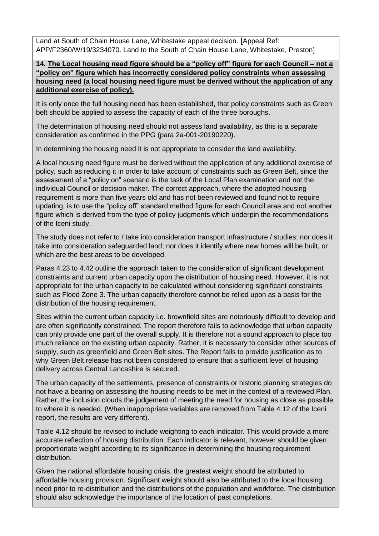Land at South of Chain House Lane, Whitestake appeal decision. [Appeal Ref: APP/F2360/W/19/3234070. Land to the South of Chain House Lane, Whitestake, Preston]

**14. The Local housing need figure should be a "policy off" figure for each Council – not a "policy on" figure which has incorrectly considered policy constraints when assessing housing need (a local housing need figure must be derived without the application of any additional exercise of policy).**

It is only once the full housing need has been established, that policy constraints such as Green belt should be applied to assess the capacity of each of the three boroughs.

The determination of housing need should not assess land availability, as this is a separate consideration as confirmed in the PPG (para 2a-001-20190220).

In determining the housing need it is not appropriate to consider the land availability.

A local housing need figure must be derived without the application of any additional exercise of policy, such as reducing it in order to take account of constraints such as Green Belt, since the assessment of a "policy on" scenario is the task of the Local Plan examination and not the individual Council or decision maker. The correct approach, where the adopted housing requirement is more than five years old and has not been reviewed and found not to require updating, is to use the "policy off" standard method figure for each Council area and not another figure which is derived from the type of policy judgments which underpin the recommendations of the Iceni study.

The study does not refer to / take into consideration transport infrastructure / studies; nor does it take into consideration safeguarded land; nor does it identify where new homes will be built, or which are the best areas to be developed.

Paras 4.23 to 4.42 outline the approach taken to the consideration of significant development constraints and current urban capacity upon the distribution of housing need. However, it is not appropriate for the urban capacity to be calculated without considering significant constraints such as Flood Zone 3. The urban capacity therefore cannot be relied upon as a basis for the distribution of the housing requirement.

Sites within the current urban capacity i.e. brownfield sites are notoriously difficult to develop and are often significantly constrained. The report therefore fails to acknowledge that urban capacity can only provide one part of the overall supply. It is therefore not a sound approach to place too much reliance on the existing urban capacity. Rather, it is necessary to consider other sources of supply, such as greenfield and Green Belt sites. The Report fails to provide justification as to why Green Belt release has not been considered to ensure that a sufficient level of housing delivery across Central Lancashire is secured.

The urban capacity of the settlements, presence of constraints or historic planning strategies do not have a bearing on assessing the housing needs to be met in the context of a reviewed Plan. Rather, the inclusion clouds the judgement of meeting the need for housing as close as possible to where it is needed. (When inappropriate variables are removed from Table 4.12 of the Iceni report, the results are very different).

Table 4.12 should be revised to include weighting to each indicator. This would provide a more accurate reflection of housing distribution. Each indicator is relevant, however should be given proportionate weight according to its significance in determining the housing requirement distribution.

Given the national affordable housing crisis, the greatest weight should be attributed to affordable housing provision. Significant weight should also be attributed to the local housing need prior to re-distribution and the distributions of the population and workforce. The distribution should also acknowledge the importance of the location of past completions.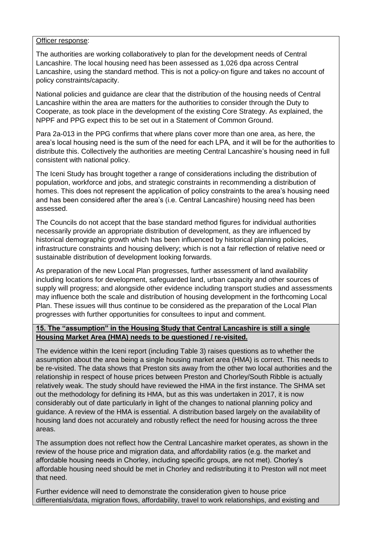### Officer response:

The authorities are working collaboratively to plan for the development needs of Central Lancashire. The local housing need has been assessed as 1,026 dpa across Central Lancashire, using the standard method. This is not a policy-on figure and takes no account of policy constraints/capacity.

National policies and guidance are clear that the distribution of the housing needs of Central Lancashire within the area are matters for the authorities to consider through the Duty to Cooperate, as took place in the development of the existing Core Strategy. As explained, the NPPF and PPG expect this to be set out in a Statement of Common Ground.

Para 2a-013 in the PPG confirms that where plans cover more than one area, as here, the area's local housing need is the sum of the need for each LPA, and it will be for the authorities to distribute this. Collectively the authorities are meeting Central Lancashire's housing need in full consistent with national policy.

The Iceni Study has brought together a range of considerations including the distribution of population, workforce and jobs, and strategic constraints in recommending a distribution of homes. This does not represent the application of policy constraints to the area's housing need and has been considered after the area's (i.e. Central Lancashire) housing need has been assessed.

The Councils do not accept that the base standard method figures for individual authorities necessarily provide an appropriate distribution of development, as they are influenced by historical demographic growth which has been influenced by historical planning policies, infrastructure constraints and housing delivery; which is not a fair reflection of relative need or sustainable distribution of development looking forwards.

As preparation of the new Local Plan progresses, further assessment of land availability including locations for development, safeguarded land, urban capacity and other sources of supply will progress; and alongside other evidence including transport studies and assessments may influence both the scale and distribution of housing development in the forthcoming Local Plan. These issues will thus continue to be considered as the preparation of the Local Plan progresses with further opportunities for consultees to input and comment.

# **15. The "assumption" in the Housing Study that Central Lancashire is still a single Housing Market Area (HMA) needs to be questioned / re-visited.**

The evidence within the Iceni report (including Table 3) raises questions as to whether the assumption about the area being a single housing market area (HMA) is correct. This needs to be re-visited. The data shows that Preston sits away from the other two local authorities and the relationship in respect of house prices between Preston and Chorley/South Ribble is actually relatively weak. The study should have reviewed the HMA in the first instance. The SHMA set out the methodology for defining its HMA, but as this was undertaken in 2017, it is now considerably out of date particularly in light of the changes to national planning policy and guidance. A review of the HMA is essential. A distribution based largely on the availability of housing land does not accurately and robustly reflect the need for housing across the three areas.

The assumption does not reflect how the Central Lancashire market operates, as shown in the review of the house price and migration data, and affordability ratios (e.g. the market and affordable housing needs in Chorley, including specific groups, are not met). Chorley's affordable housing need should be met in Chorley and redistributing it to Preston will not meet that need.

Further evidence will need to demonstrate the consideration given to house price differentials/data, migration flows, affordability, travel to work relationships, and existing and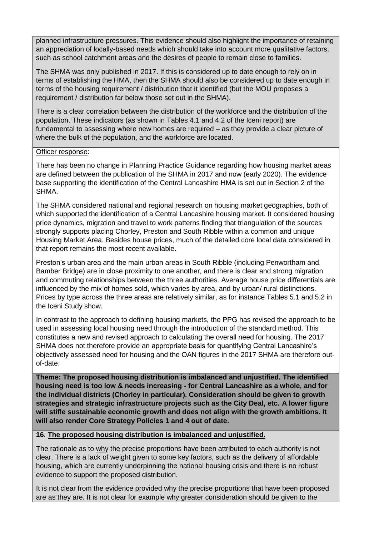planned infrastructure pressures. This evidence should also highlight the importance of retaining an appreciation of locally-based needs which should take into account more qualitative factors, such as school catchment areas and the desires of people to remain close to families.

The SHMA was only published in 2017. If this is considered up to date enough to rely on in terms of establishing the HMA, then the SHMA should also be considered up to date enough in terms of the housing requirement / distribution that it identified (but the MOU proposes a requirement / distribution far below those set out in the SHMA).

There is a clear correlation between the distribution of the workforce and the distribution of the population. These indicators (as shown in Tables 4.1 and 4.2 of the Iceni report) are fundamental to assessing where new homes are required – as they provide a clear picture of where the bulk of the population, and the workforce are located.

# Officer response:

There has been no change in Planning Practice Guidance regarding how housing market areas are defined between the publication of the SHMA in 2017 and now (early 2020). The evidence base supporting the identification of the Central Lancashire HMA is set out in Section 2 of the SHMA.

The SHMA considered national and regional research on housing market geographies, both of which supported the identification of a Central Lancashire housing market. It considered housing price dynamics, migration and travel to work patterns finding that triangulation of the sources strongly supports placing Chorley, Preston and South Ribble within a common and unique Housing Market Area. Besides house prices, much of the detailed core local data considered in that report remains the most recent available.

Preston's urban area and the main urban areas in South Ribble (including Penwortham and Bamber Bridge) are in close proximity to one another, and there is clear and strong migration and commuting relationships between the three authorities. Average house price differentials are influenced by the mix of homes sold, which varies by area, and by urban/ rural distinctions. Prices by type across the three areas are relatively similar, as for instance Tables 5.1 and 5.2 in the Iceni Study show.

In contrast to the approach to defining housing markets, the PPG has revised the approach to be used in assessing local housing need through the introduction of the standard method. This constitutes a new and revised approach to calculating the overall need for housing. The 2017 SHMA does not therefore provide an appropriate basis for quantifying Central Lancashire's objectively assessed need for housing and the OAN figures in the 2017 SHMA are therefore outof-date.

**Theme: The proposed housing distribution is imbalanced and unjustified. The identified housing need is too low & needs increasing - for Central Lancashire as a whole, and for the individual districts (Chorley in particular). Consideration should be given to growth strategies and strategic infrastructure projects such as the City Deal, etc. A lower figure will stifle sustainable economic growth and does not align with the growth ambitions. It will also render Core Strategy Policies 1 and 4 out of date.**

# **16. The proposed housing distribution is imbalanced and unjustified.**

The rationale as to why the precise proportions have been attributed to each authority is not clear. There is a lack of weight given to some key factors, such as the delivery of affordable housing, which are currently underpinning the national housing crisis and there is no robust evidence to support the proposed distribution.

It is not clear from the evidence provided why the precise proportions that have been proposed are as they are. It is not clear for example why greater consideration should be given to the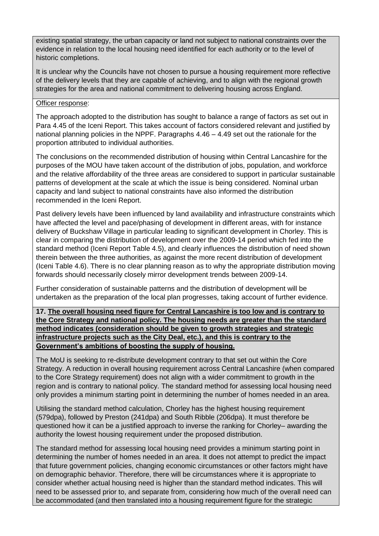existing spatial strategy, the urban capacity or land not subject to national constraints over the evidence in relation to the local housing need identified for each authority or to the level of historic completions.

It is unclear why the Councils have not chosen to pursue a housing requirement more reflective of the delivery levels that they are capable of achieving, and to align with the regional growth strategies for the area and national commitment to delivering housing across England.

# Officer response:

The approach adopted to the distribution has sought to balance a range of factors as set out in Para 4.45 of the Iceni Report. This takes account of factors considered relevant and justified by national planning policies in the NPPF. Paragraphs 4.46 – 4.49 set out the rationale for the proportion attributed to individual authorities.

The conclusions on the recommended distribution of housing within Central Lancashire for the purposes of the MOU have taken account of the distribution of jobs, population, and workforce and the relative affordability of the three areas are considered to support in particular sustainable patterns of development at the scale at which the issue is being considered. Nominal urban capacity and land subject to national constraints have also informed the distribution recommended in the Iceni Report.

Past delivery levels have been influenced by land availability and infrastructure constraints which have affected the level and pace/phasing of development in different areas, with for instance delivery of Buckshaw Village in particular leading to significant development in Chorley. This is clear in comparing the distribution of development over the 2009-14 period which fed into the standard method (Iceni Report Table 4.5), and clearly influences the distribution of need shown therein between the three authorities, as against the more recent distribution of development (Iceni Table 4.6). There is no clear planning reason as to why the appropriate distribution moving forwards should necessarily closely mirror development trends between 2009-14.

Further consideration of sustainable patterns and the distribution of development will be undertaken as the preparation of the local plan progresses, taking account of further evidence.

# **17. The overall housing need figure for Central Lancashire is too low and is contrary to the Core Strategy and national policy. The housing needs are greater than the standard method indicates (consideration should be given to growth strategies and strategic infrastructure projects such as the City Deal, etc.), and this is contrary to the Government's ambitions of boosting the supply of housing.**

The MoU is seeking to re-distribute development contrary to that set out within the Core Strategy. A reduction in overall housing requirement across Central Lancashire (when compared to the Core Strategy requirement) does not align with a wider commitment to growth in the region and is contrary to national policy. The standard method for assessing local housing need only provides a minimum starting point in determining the number of homes needed in an area.

Utilising the standard method calculation, Chorley has the highest housing requirement (579dpa), followed by Preston (241dpa) and South Ribble (206dpa). It must therefore be questioned how it can be a justified approach to inverse the ranking for Chorley– awarding the authority the lowest housing requirement under the proposed distribution.

The standard method for assessing local housing need provides a minimum starting point in determining the number of homes needed in an area. It does not attempt to predict the impact that future government policies, changing economic circumstances or other factors might have on demographic behavior. Therefore, there will be circumstances where it is appropriate to consider whether actual housing need is higher than the standard method indicates. This will need to be assessed prior to, and separate from, considering how much of the overall need can be accommodated (and then translated into a housing requirement figure for the strategic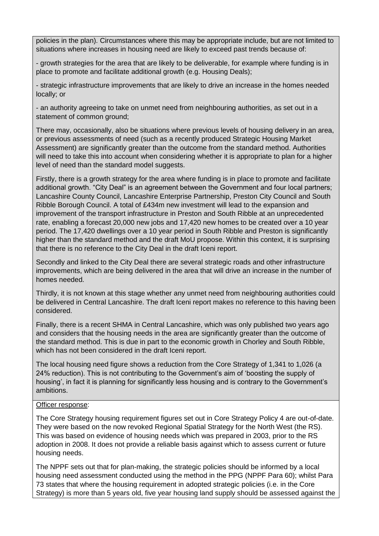policies in the plan). Circumstances where this may be appropriate include, but are not limited to situations where increases in housing need are likely to exceed past trends because of:

- growth strategies for the area that are likely to be deliverable, for example where funding is in place to promote and facilitate additional growth (e.g. Housing Deals);

- strategic infrastructure improvements that are likely to drive an increase in the homes needed locally; or

- an authority agreeing to take on unmet need from neighbouring authorities, as set out in a statement of common ground;

There may, occasionally, also be situations where previous levels of housing delivery in an area, or previous assessments of need (such as a recently produced Strategic Housing Market Assessment) are significantly greater than the outcome from the standard method. Authorities will need to take this into account when considering whether it is appropriate to plan for a higher level of need than the standard model suggests.

Firstly, there is a growth strategy for the area where funding is in place to promote and facilitate additional growth. "City Deal" is an agreement between the Government and four local partners; Lancashire County Council, Lancashire Enterprise Partnership, Preston City Council and South Ribble Borough Council. A total of £434m new investment will lead to the expansion and improvement of the transport infrastructure in Preston and South Ribble at an unprecedented rate, enabling a forecast 20,000 new jobs and 17,420 new homes to be created over a 10 year period. The 17,420 dwellings over a 10 year period in South Ribble and Preston is significantly higher than the standard method and the draft MoU propose. Within this context, it is surprising that there is no reference to the City Deal in the draft Iceni report.

Secondly and linked to the City Deal there are several strategic roads and other infrastructure improvements, which are being delivered in the area that will drive an increase in the number of homes needed.

Thirdly, it is not known at this stage whether any unmet need from neighbouring authorities could be delivered in Central Lancashire. The draft Iceni report makes no reference to this having been considered.

Finally, there is a recent SHMA in Central Lancashire, which was only published two years ago and considers that the housing needs in the area are significantly greater than the outcome of the standard method. This is due in part to the economic growth in Chorley and South Ribble, which has not been considered in the draft Iceni report.

The local housing need figure shows a reduction from the Core Strategy of 1,341 to 1,026 (a 24% reduction). This is not contributing to the Government's aim of 'boosting the supply of housing', in fact it is planning for significantly less housing and is contrary to the Government's ambitions.

### Officer response:

The Core Strategy housing requirement figures set out in Core Strategy Policy 4 are out-of-date. They were based on the now revoked Regional Spatial Strategy for the North West (the RS). This was based on evidence of housing needs which was prepared in 2003, prior to the RS adoption in 2008. It does not provide a reliable basis against which to assess current or future housing needs.

The NPPF sets out that for plan-making, the strategic policies should be informed by a local housing need assessment conducted using the method in the PPG (NPPF Para 60); whilst Para 73 states that where the housing requirement in adopted strategic policies (i.e. in the Core Strategy) is more than 5 years old, five year housing land supply should be assessed against the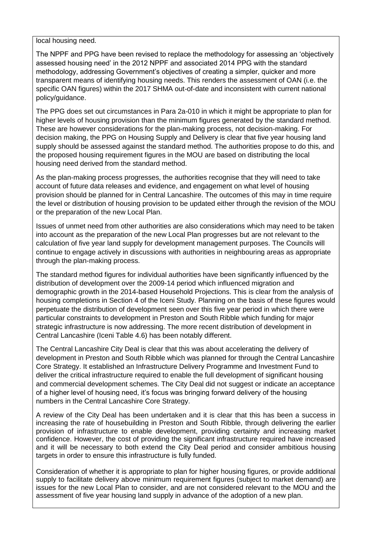local housing need.

The NPPF and PPG have been revised to replace the methodology for assessing an 'objectively assessed housing need' in the 2012 NPPF and associated 2014 PPG with the standard methodology, addressing Government's objectives of creating a simpler, quicker and more transparent means of identifying housing needs. This renders the assessment of OAN (i.e. the specific OAN figures) within the 2017 SHMA out-of-date and inconsistent with current national policy/guidance.

The PPG does set out circumstances in Para 2a-010 in which it might be appropriate to plan for higher levels of housing provision than the minimum figures generated by the standard method. These are however considerations for the plan-making process, not decision-making. For decision making, the PPG on Housing Supply and Delivery is clear that five year housing land supply should be assessed against the standard method. The authorities propose to do this, and the proposed housing requirement figures in the MOU are based on distributing the local housing need derived from the standard method.

As the plan-making process progresses, the authorities recognise that they will need to take account of future data releases and evidence, and engagement on what level of housing provision should be planned for in Central Lancashire. The outcomes of this may in time require the level or distribution of housing provision to be updated either through the revision of the MOU or the preparation of the new Local Plan.

Issues of unmet need from other authorities are also considerations which may need to be taken into account as the preparation of the new Local Plan progresses but are not relevant to the calculation of five year land supply for development management purposes. The Councils will continue to engage actively in discussions with authorities in neighbouring areas as appropriate through the plan-making process.

The standard method figures for individual authorities have been significantly influenced by the distribution of development over the 2009-14 period which influenced migration and demographic growth in the 2014-based Household Projections. This is clear from the analysis of housing completions in Section 4 of the Iceni Study. Planning on the basis of these figures would perpetuate the distribution of development seen over this five year period in which there were particular constraints to development in Preston and South Ribble which funding for major strategic infrastructure is now addressing. The more recent distribution of development in Central Lancashire (Iceni Table 4.6) has been notably different.

The Central Lancashire City Deal is clear that this was about accelerating the delivery of development in Preston and South Ribble which was planned for through the Central Lancashire Core Strategy. It established an Infrastructure Delivery Programme and Investment Fund to deliver the critical infrastructure required to enable the full development of significant housing and commercial development schemes. The City Deal did not suggest or indicate an acceptance of a higher level of housing need, it's focus was bringing forward delivery of the housing numbers in the Central Lancashire Core Strategy.

A review of the City Deal has been undertaken and it is clear that this has been a success in increasing the rate of housebuilding in Preston and South Ribble, through delivering the earlier provision of infrastructure to enable development, providing certainty and increasing market confidence. However, the cost of providing the significant infrastructure required have increased and it will be necessary to both extend the City Deal period and consider ambitious housing targets in order to ensure this infrastructure is fully funded.

Consideration of whether it is appropriate to plan for higher housing figures, or provide additional supply to facilitate delivery above minimum requirement figures (subject to market demand) are issues for the new Local Plan to consider, and are not considered relevant to the MOU and the assessment of five year housing land supply in advance of the adoption of a new plan.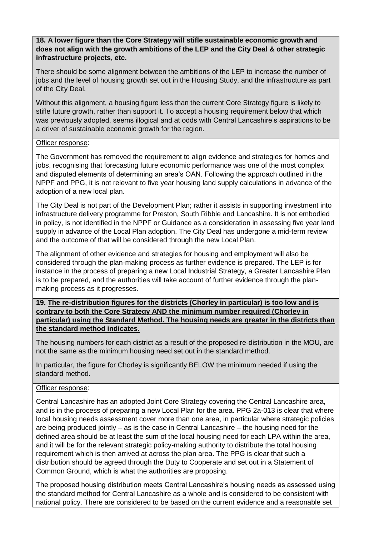**18. A lower figure than the Core Strategy will stifle sustainable economic growth and does not align with the growth ambitions of the LEP and the City Deal & other strategic infrastructure projects, etc.**

There should be some alignment between the ambitions of the LEP to increase the number of jobs and the level of housing growth set out in the Housing Study, and the infrastructure as part of the City Deal.

Without this alignment, a housing figure less than the current Core Strategy figure is likely to stifle future growth, rather than support it. To accept a housing requirement below that which was previously adopted, seems illogical and at odds with Central Lancashire's aspirations to be a driver of sustainable economic growth for the region.

# Officer response:

The Government has removed the requirement to align evidence and strategies for homes and jobs, recognising that forecasting future economic performance was one of the most complex and disputed elements of determining an area's OAN. Following the approach outlined in the NPPF and PPG, it is not relevant to five year housing land supply calculations in advance of the adoption of a new local plan.

The City Deal is not part of the Development Plan; rather it assists in supporting investment into infrastructure delivery programme for Preston, South Ribble and Lancashire. It is not embodied in policy, is not identified in the NPPF or Guidance as a consideration in assessing five year land supply in advance of the Local Plan adoption. The City Deal has undergone a mid-term review and the outcome of that will be considered through the new Local Plan.

The alignment of other evidence and strategies for housing and employment will also be considered through the plan-making process as further evidence is prepared. The LEP is for instance in the process of preparing a new Local Industrial Strategy, a Greater Lancashire Plan is to be prepared, and the authorities will take account of further evidence through the planmaking process as it progresses.

**19. The re-distribution figures for the districts (Chorley in particular) is too low and is contrary to both the Core Strategy AND the minimum number required (Chorley in particular) using the Standard Method. The housing needs are greater in the districts than the standard method indicates.**

The housing numbers for each district as a result of the proposed re-distribution in the MOU, are not the same as the minimum housing need set out in the standard method.

In particular, the figure for Chorley is significantly BELOW the minimum needed if using the standard method.

# Officer response:

Central Lancashire has an adopted Joint Core Strategy covering the Central Lancashire area, and is in the process of preparing a new Local Plan for the area. PPG 2a-013 is clear that where local housing needs assessment cover more than one area, in particular where strategic policies are being produced jointly – as is the case in Central Lancashire – the housing need for the defined area should be at least the sum of the local housing need for each LPA within the area, and it will be for the relevant strategic policy-making authority to distribute the total housing requirement which is then arrived at across the plan area. The PPG is clear that such a distribution should be agreed through the Duty to Cooperate and set out in a Statement of Common Ground, which is what the authorities are proposing.

The proposed housing distribution meets Central Lancashire's housing needs as assessed using the standard method for Central Lancashire as a whole and is considered to be consistent with national policy. There are considered to be based on the current evidence and a reasonable set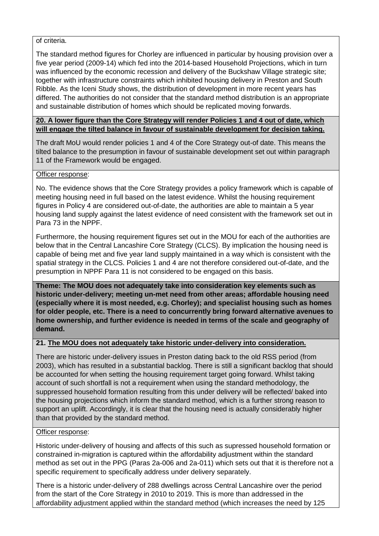# of criteria.

The standard method figures for Chorley are influenced in particular by housing provision over a five year period (2009-14) which fed into the 2014-based Household Projections, which in turn was influenced by the economic recession and delivery of the Buckshaw Village strategic site; together with infrastructure constraints which inhibited housing delivery in Preston and South Ribble. As the Iceni Study shows, the distribution of development in more recent years has differed. The authorities do not consider that the standard method distribution is an appropriate and sustainable distribution of homes which should be replicated moving forwards.

# **20. A lower figure than the Core Strategy will render Policies 1 and 4 out of date, which will engage the tilted balance in favour of sustainable development for decision taking.**

The draft MoU would render policies 1 and 4 of the Core Strategy out-of date. This means the tilted balance to the presumption in favour of sustainable development set out within paragraph 11 of the Framework would be engaged.

# Officer response:

No. The evidence shows that the Core Strategy provides a policy framework which is capable of meeting housing need in full based on the latest evidence. Whilst the housing requirement figures in Policy 4 are considered out-of-date, the authorities are able to maintain a 5 year housing land supply against the latest evidence of need consistent with the framework set out in Para 73 in the NPPF.

Furthermore, the housing requirement figures set out in the MOU for each of the authorities are below that in the Central Lancashire Core Strategy (CLCS). By implication the housing need is capable of being met and five year land supply maintained in a way which is consistent with the spatial strategy in the CLCS. Policies 1 and 4 are not therefore considered out-of-date, and the presumption in NPPF Para 11 is not considered to be engaged on this basis.

**Theme: The MOU does not adequately take into consideration key elements such as historic under-delivery; meeting un-met need from other areas; affordable housing need (especially where it is most needed, e.g. Chorley); and specialist housing such as homes for older people, etc. There is a need to concurrently bring forward alternative avenues to home ownership, and further evidence is needed in terms of the scale and geography of demand.**

# **21. The MOU does not adequately take historic under-delivery into consideration.**

There are historic under-delivery issues in Preston dating back to the old RSS period (from 2003), which has resulted in a substantial backlog. There is still a significant backlog that should be accounted for when setting the housing requirement target going forward. Whilst taking account of such shortfall is not a requirement when using the standard methodology, the suppressed household formation resulting from this under delivery will be reflected/ baked into the housing projections which inform the standard method, which is a further strong reason to support an uplift. Accordingly, it is clear that the housing need is actually considerably higher than that provided by the standard method.

# Officer response:

Historic under-delivery of housing and affects of this such as supressed household formation or constrained in-migration is captured within the affordability adjustment within the standard method as set out in the PPG (Paras 2a-006 and 2a-011) which sets out that it is therefore not a specific requirement to specifically address under delivery separately.

There is a historic under-delivery of 288 dwellings across Central Lancashire over the period from the start of the Core Strategy in 2010 to 2019. This is more than addressed in the affordability adjustment applied within the standard method (which increases the need by 125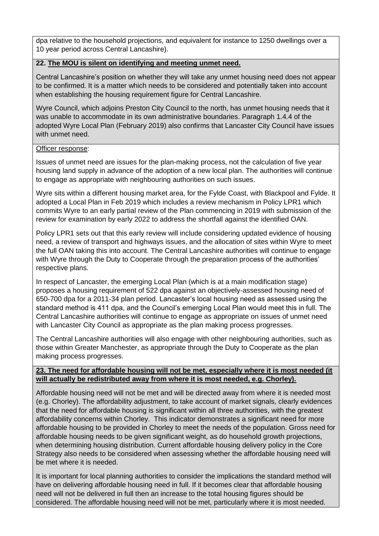dpa relative to the household projections, and equivalent for instance to 1250 dwellings over a 10 year period across Central Lancashire).

# **22. The MOU is silent on identifying and meeting unmet need.**

Central Lancashire's position on whether they will take any unmet housing need does not appear to be confirmed. It is a matter which needs to be considered and potentially taken into account when establishing the housing requirement figure for Central Lancashire.

Wyre Council, which adjoins Preston City Council to the north, has unmet housing needs that it was unable to accommodate in its own administrative boundaries. Paragraph 1.4.4 of the adopted Wyre Local Plan (February 2019) also confirms that Lancaster City Council have issues with unmet need.

# Officer response:

Issues of unmet need are issues for the plan-making process, not the calculation of five year housing land supply in advance of the adoption of a new local plan. The authorities will continue to engage as appropriate with neighbouring authorities on such issues.

Wyre sits within a different housing market area, for the Fylde Coast, with Blackpool and Fylde. It adopted a Local Plan in Feb 2019 which includes a review mechanism in Policy LPR1 which commits Wyre to an early partial review of the Plan commencing in 2019 with submission of the review for examination by early 2022 to address the shortfall against the identified OAN.

Policy LPR1 sets out that this early review will include considering updated evidence of housing need, a review of transport and highways issues, and the allocation of sites within Wyre to meet the full OAN taking this into account. The Central Lancashire authorities will continue to engage with Wyre through the Duty to Cooperate through the preparation process of the authorities' respective plans.

In respect of Lancaster, the emerging Local Plan (which is at a main modification stage) proposes a housing requirement of 522 dpa against an objectively-assessed housing need of 650-700 dpa for a 2011-34 plan period. Lancaster's local housing need as assessed using the standard method is 411 dpa, and the Council's emerging Local Plan would meet this in full. The Central Lancashire authorities will continue to engage as appropriate on issues of unmet need with Lancaster City Council as appropriate as the plan making process progresses.

The Central Lancashire authorities will also engage with other neighbouring authorities, such as those within Greater Manchester, as appropriate through the Duty to Cooperate as the plan making process progresses.

# **23. The need for affordable housing will not be met, especially where it is most needed (it will actually be redistributed away from where it is most needed, e.g. Chorley).**

Affordable housing need will not be met and will be directed away from where it is needed most (e.g. Chorley). The affordability adjustment, to take account of market signals, clearly evidences that the need for affordable housing is significant within all three authorities, with the greatest affordability concerns within Chorley. This indicator demonstrates a significant need for more affordable housing to be provided in Chorley to meet the needs of the population. Gross need for affordable housing needs to be given significant weight, as do household growth projections, when determining housing distribution. Current affordable housing delivery policy in the Core Strategy also needs to be considered when assessing whether the affordable housing need will be met where it is needed.

It is important for local planning authorities to consider the implications the standard method will have on delivering affordable housing need in full. If it becomes clear that affordable housing need will not be delivered in full then an increase to the total housing figures should be considered. The affordable housing need will not be met, particularly where it is most needed.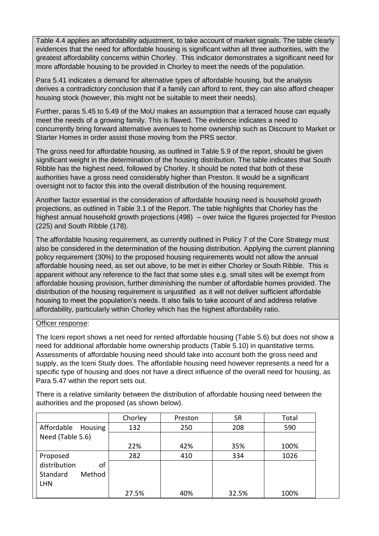Table 4.4 applies an affordability adjustment, to take account of market signals. The table clearly evidences that the need for affordable housing is significant within all three authorities, with the greatest affordability concerns within Chorley. This indicator demonstrates a significant need for more affordable housing to be provided in Chorley to meet the needs of the population.

Para 5.41 indicates a demand for alternative types of affordable housing, but the analysis derives a contradictory conclusion that if a family can afford to rent, they can also afford cheaper housing stock (however, this might not be suitable to meet their needs).

Further, paras 5.45 to 5.49 of the MoU makes an assumption that a terraced house can equally meet the needs of a growing family. This is flawed. The evidence indicates a need to concurrently bring forward alternative avenues to home ownership such as Discount to Market or Starter Homes in order assist those moving from the PRS sector.

The gross need for affordable housing, as outlined in Table 5.9 of the report, should be given significant weight in the determination of the housing distribution. The table indicates that South Ribble has the highest need, followed by Chorley. It should be noted that both of these authorities have a gross need considerably higher than Preston. It would be a significant oversight not to factor this into the overall distribution of the housing requirement.

Another factor essential in the consideration of affordable housing need is household growth projections, as outlined in Table 3.1 of the Report. The table highlights that Chorley has the highest annual household growth projections (498) – over twice the figures projected for Preston (225) and South Ribble (178).

The affordable housing requirement, as currently outlined in Policy 7 of the Core Strategy must also be considered in the determination of the housing distribution. Applying the current planning policy requirement (30%) to the proposed housing requirements would not allow the annual affordable housing need, as set out above, to be met in either Chorley or South Ribble. This is apparent without any reference to the fact that some sites e.g. small sites will be exempt from affordable housing provision, further diminishing the number of affordable homes provided. The distribution of the housing requirement is unjustified as it will not deliver sufficient affordable housing to meet the population's needs. It also fails to take account of and address relative affordability, particularly within Chorley which has the highest affordability ratio.

# Officer response:

The Iceni report shows a net need for rented affordable housing (Table 5.6) but does not show a need for additional affordable home ownership products (Table 5.10) in quantitative terms. Assessments of affordable housing need should take into account both the gross need and supply, as the Iceni Study does. The affordable housing need however represents a need for a specific type of housing and does not have a direct influence of the overall need for housing, as Para 5.47 within the report sets out.

There is a relative similarity between the distribution of affordable housing need between the authorities and the proposed (as shown below).

|                       | Chorley | Preston | <b>SR</b> | Total |
|-----------------------|---------|---------|-----------|-------|
| Affordable<br>Housing | 132     | 250     | 208       | 590   |
| Need (Table 5.6)      |         |         |           |       |
|                       | 22%     | 42%     | 35%       | 100%  |
| Proposed              | 282     | 410     | 334       | 1026  |
| distribution<br>οf    |         |         |           |       |
| Method<br>Standard    |         |         |           |       |
| <b>LHN</b>            |         |         |           |       |
|                       | 27.5%   | 40%     | 32.5%     | 100%  |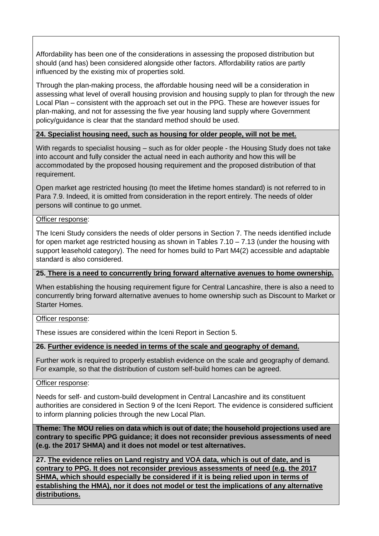Affordability has been one of the considerations in assessing the proposed distribution but should (and has) been considered alongside other factors. Affordability ratios are partly influenced by the existing mix of properties sold.

Through the plan-making process, the affordable housing need will be a consideration in assessing what level of overall housing provision and housing supply to plan for through the new Local Plan – consistent with the approach set out in the PPG. These are however issues for plan-making, and not for assessing the five year housing land supply where Government policy/guidance is clear that the standard method should be used.

# **24. Specialist housing need, such as housing for older people, will not be met.**

With regards to specialist housing – such as for older people - the Housing Study does not take into account and fully consider the actual need in each authority and how this will be accommodated by the proposed housing requirement and the proposed distribution of that requirement.

Open market age restricted housing (to meet the lifetime homes standard) is not referred to in Para 7.9. Indeed, it is omitted from consideration in the report entirely. The needs of older persons will continue to go unmet.

# Officer response:

The Iceni Study considers the needs of older persons in Section 7. The needs identified include for open market age restricted housing as shown in Tables 7.10 – 7.13 (under the housing with support leasehold category). The need for homes build to Part M4(2) accessible and adaptable standard is also considered.

# **25. There is a need to concurrently bring forward alternative avenues to home ownership.**

When establishing the housing requirement figure for Central Lancashire, there is also a need to concurrently bring forward alternative avenues to home ownership such as Discount to Market or Starter Homes.

# Officer response:

These issues are considered within the Iceni Report in Section 5.

# **26. Further evidence is needed in terms of the scale and geography of demand.**

Further work is required to properly establish evidence on the scale and geography of demand. For example, so that the distribution of custom self-build homes can be agreed.

# Officer response:

Needs for self- and custom-build development in Central Lancashire and its constituent authorities are considered in Section 9 of the Iceni Report. The evidence is considered sufficient to inform planning policies through the new Local Plan.

**Theme: The MOU relies on data which is out of date; the household projections used are contrary to specific PPG guidance; it does not reconsider previous assessments of need (e.g. the 2017 SHMA) and it does not model or test alternatives.**

**27. The evidence relies on Land registry and VOA data, which is out of date, and is contrary to PPG. It does not reconsider previous assessments of need (e.g. the 2017 SHMA, which should especially be considered if it is being relied upon in terms of establishing the HMA), nor it does not model or test the implications of any alternative distributions.**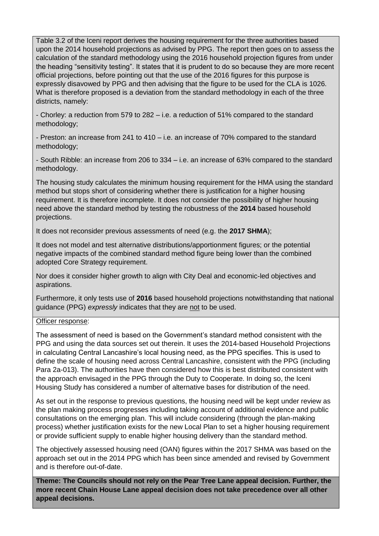Table 3.2 of the Iceni report derives the housing requirement for the three authorities based upon the 2014 household projections as advised by PPG. The report then goes on to assess the calculation of the standard methodology using the 2016 household projection figures from under the heading "sensitivity testing". It states that it is prudent to do so because they are more recent official projections, before pointing out that the use of the 2016 figures for this purpose is expressly disavowed by PPG and then advising that the figure to be used for the CLA is 1026. What is therefore proposed is a deviation from the standard methodology in each of the three districts, namely:

- Chorley: a reduction from 579 to 282 – i.e. a reduction of 51% compared to the standard methodology;

- Preston: an increase from 241 to 410 – i.e. an increase of 70% compared to the standard methodology;

- South Ribble: an increase from 206 to 334 – i.e. an increase of 63% compared to the standard methodology.

The housing study calculates the minimum housing requirement for the HMA using the standard method but stops short of considering whether there is justification for a higher housing requirement. It is therefore incomplete. It does not consider the possibility of higher housing need above the standard method by testing the robustness of the **2014** based household projections.

It does not reconsider previous assessments of need (e.g. the **2017 SHMA**);

It does not model and test alternative distributions/apportionment figures; or the potential negative impacts of the combined standard method figure being lower than the combined adopted Core Strategy requirement.

Nor does it consider higher growth to align with City Deal and economic-led objectives and aspirations.

Furthermore, it only tests use of **2016** based household projections notwithstanding that national guidance (PPG) *expressly* indicates that they are not to be used.

# Officer response:

The assessment of need is based on the Government's standard method consistent with the PPG and using the data sources set out therein. It uses the 2014-based Household Projections in calculating Central Lancashire's local housing need, as the PPG specifies. This is used to define the scale of housing need across Central Lancashire, consistent with the PPG (including Para 2a-013). The authorities have then considered how this is best distributed consistent with the approach envisaged in the PPG through the Duty to Cooperate. In doing so, the Iceni Housing Study has considered a number of alternative bases for distribution of the need.

As set out in the response to previous questions, the housing need will be kept under review as the plan making process progresses including taking account of additional evidence and public consultations on the emerging plan. This will include considering (through the plan-making process) whether justification exists for the new Local Plan to set a higher housing requirement or provide sufficient supply to enable higher housing delivery than the standard method.

The objectively assessed housing need (OAN) figures within the 2017 SHMA was based on the approach set out in the 2014 PPG which has been since amended and revised by Government and is therefore out-of-date.

**Theme: The Councils should not rely on the Pear Tree Lane appeal decision. Further, the more recent Chain House Lane appeal decision does not take precedence over all other appeal decisions.**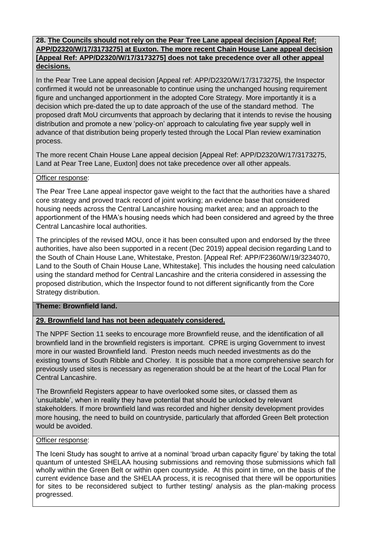# **28. The Councils should not rely on the Pear Tree Lane appeal decision [Appeal Ref: APP/D2320/W/17/3173275] at Euxton. The more recent Chain House Lane appeal decision [Appeal Ref: APP/D2320/W/17/3173275] does not take precedence over all other appeal decisions.**

In the Pear Tree Lane appeal decision [Appeal ref: APP/D2320/W/17/3173275], the Inspector confirmed it would not be unreasonable to continue using the unchanged housing requirement figure and unchanged apportionment in the adopted Core Strategy. More importantly it is a decision which pre-dated the up to date approach of the use of the standard method. The proposed draft MoU circumvents that approach by declaring that it intends to revise the housing distribution and promote a new 'policy-on' approach to calculating five year supply well in advance of that distribution being properly tested through the Local Plan review examination process.

The more recent Chain House Lane appeal decision [Appeal Ref: APP/D2320/W/17/3173275, Land at Pear Tree Lane, Euxton] does not take precedence over all other appeals.

# Officer response:

The Pear Tree Lane appeal inspector gave weight to the fact that the authorities have a shared core strategy and proved track record of joint working; an evidence base that considered housing needs across the Central Lancashire housing market area; and an approach to the apportionment of the HMA's housing needs which had been considered and agreed by the three Central Lancashire local authorities.

The principles of the revised MOU, once it has been consulted upon and endorsed by the three authorities, have also been supported in a recent (Dec 2019) appeal decision regarding Land to the South of Chain House Lane, Whitestake, Preston. [Appeal Ref: APP/F2360/W/19/3234070, Land to the South of Chain House Lane, Whitestake]. This includes the housing need calculation using the standard method for Central Lancashire and the criteria considered in assessing the proposed distribution, which the Inspector found to not different significantly from the Core Strategy distribution.

# **Theme: Brownfield land.**

# **29. Brownfield land has not been adequately considered.**

The NPPF Section 11 seeks to encourage more Brownfield reuse, and the identification of all brownfield land in the brownfield registers is important. CPRE is urging Government to invest more in our wasted Brownfield land. Preston needs much needed investments as do the existing towns of South Ribble and Chorley. It is possible that a more comprehensive search for previously used sites is necessary as regeneration should be at the heart of the Local Plan for Central Lancashire.

The Brownfield Registers appear to have overlooked some sites, or classed them as 'unsuitable', when in reality they have potential that should be unlocked by relevant stakeholders. If more brownfield land was recorded and higher density development provides more housing, the need to build on countryside, particularly that afforded Green Belt protection would be avoided.

# Officer response:

The Iceni Study has sought to arrive at a nominal 'broad urban capacity figure' by taking the total quantum of untested SHELAA housing submissions and removing those submissions which fall wholly within the Green Belt or within open countryside. At this point in time, on the basis of the current evidence base and the SHELAA process, it is recognised that there will be opportunities for sites to be reconsidered subject to further testing/ analysis as the plan-making process progressed.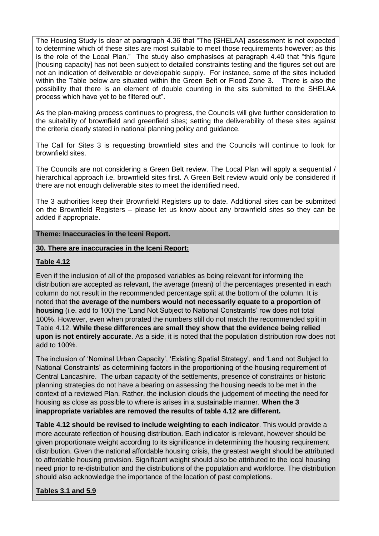The Housing Study is clear at paragraph 4.36 that "The [SHELAA] assessment is not expected to determine which of these sites are most suitable to meet those requirements however; as this is the role of the Local Plan." The study also emphasises at paragraph 4.40 that "this figure [housing capacity] has not been subject to detailed constraints testing and the figures set out are not an indication of deliverable or developable supply. For instance, some of the sites included within the Table below are situated within the Green Belt or Flood Zone 3. There is also the possibility that there is an element of double counting in the sits submitted to the SHELAA process which have yet to be filtered out".

As the plan-making process continues to progress, the Councils will give further consideration to the suitability of brownfield and greenfield sites; setting the deliverability of these sites against the criteria clearly stated in national planning policy and guidance.

The Call for Sites 3 is requesting brownfield sites and the Councils will continue to look for brownfield sites.

The Councils are not considering a Green Belt review. The Local Plan will apply a sequential / hierarchical approach i.e. brownfield sites first. A Green Belt review would only be considered if there are not enough deliverable sites to meet the identified need.

The 3 authorities keep their Brownfield Registers up to date. Additional sites can be submitted on the Brownfield Registers – please let us know about any brownfield sites so they can be added if appropriate.

# **Theme: Inaccuracies in the Iceni Report.**

# **30. There are inaccuracies in the Iceni Report:**

# **Table 4.12**

Even if the inclusion of all of the proposed variables as being relevant for informing the distribution are accepted as relevant, the average (mean) of the percentages presented in each column do not result in the recommended percentage split at the bottom of the column. It is noted that **the average of the numbers would not necessarily equate to a proportion of housing** (i.e. add to 100) the 'Land Not Subject to National Constraints' row does not total 100%. However, even when prorated the numbers still do not match the recommended split in Table 4.12. **While these differences are small they show that the evidence being relied upon is not entirely accurate**. As a side, it is noted that the population distribution row does not add to 100%.

The inclusion of 'Nominal Urban Capacity', 'Existing Spatial Strategy', and 'Land not Subject to National Constraints' as determining factors in the proportioning of the housing requirement of Central Lancashire. The urban capacity of the settlements, presence of constraints or historic planning strategies do not have a bearing on assessing the housing needs to be met in the context of a reviewed Plan. Rather, the inclusion clouds the judgement of meeting the need for housing as close as possible to where is arises in a sustainable manner. **When the 3 inappropriate variables are removed the results of table 4.12 are different.**

**Table 4.12 should be revised to include weighting to each indicator**. This would provide a more accurate reflection of housing distribution. Each indicator is relevant, however should be given proportionate weight according to its significance in determining the housing requirement distribution. Given the national affordable housing crisis, the greatest weight should be attributed to affordable housing provision. Significant weight should also be attributed to the local housing need prior to re-distribution and the distributions of the population and workforce. The distribution should also acknowledge the importance of the location of past completions.

**Tables 3.1 and 5.9**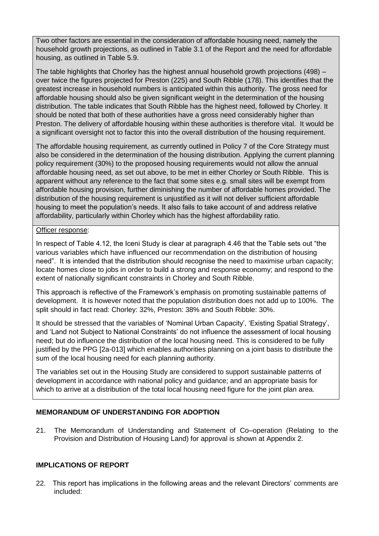Two other factors are essential in the consideration of affordable housing need, namely the household growth projections, as outlined in Table 3.1 of the Report and the need for affordable housing, as outlined in Table 5.9.

The table highlights that Chorley has the highest annual household growth projections (498) – over twice the figures projected for Preston (225) and South Ribble (178). This identifies that the greatest increase in household numbers is anticipated within this authority. The gross need for affordable housing should also be given significant weight in the determination of the housing distribution. The table indicates that South Ribble has the highest need, followed by Chorley. It should be noted that both of these authorities have a gross need considerably higher than Preston. The delivery of affordable housing within these authorities is therefore vital. It would be a significant oversight not to factor this into the overall distribution of the housing requirement.

The affordable housing requirement, as currently outlined in Policy 7 of the Core Strategy must also be considered in the determination of the housing distribution. Applying the current planning policy requirement (30%) to the proposed housing requirements would not allow the annual affordable housing need, as set out above, to be met in either Chorley or South Ribble. This is apparent without any reference to the fact that some sites e.g. small sites will be exempt from affordable housing provision, further diminishing the number of affordable homes provided. The distribution of the housing requirement is unjustified as it will not deliver sufficient affordable housing to meet the population's needs. It also fails to take account of and address relative affordability, particularly within Chorley which has the highest affordability ratio.

# Officer response:

In respect of Table 4.12, the Iceni Study is clear at paragraph 4.46 that the Table sets out "the various variables which have influenced our recommendation on the distribution of housing need". It is intended that the distribution should recognise the need to maximise urban capacity; locate homes close to jobs in order to build a strong and response economy; and respond to the extent of nationally significant constraints in Chorley and South Ribble.

This approach is reflective of the Framework's emphasis on promoting sustainable patterns of development. It is however noted that the population distribution does not add up to 100%. The split should in fact read: Chorley: 32%, Preston: 38% and South Ribble: 30%.

It should be stressed that the variables of 'Nominal Urban Capacity', 'Existing Spatial Strategy', and 'Land not Subject to National Constraints' do not influence the assessment of local housing need; but do influence the distribution of the local housing need. This is considered to be fully justified by the PPG [2a-013] which enables authorities planning on a joint basis to distribute the sum of the local housing need for each planning authority.

The variables set out in the Housing Study are considered to support sustainable patterns of development in accordance with national policy and guidance; and an appropriate basis for which to arrive at a distribution of the total local housing need figure for the joint plan area.

# **MEMORANDUM OF UNDERSTANDING FOR ADOPTION**

21. The Memorandum of Understanding and Statement of Co–operation (Relating to the Provision and Distribution of Housing Land) for approval is shown at Appendix 2.

# **IMPLICATIONS OF REPORT**

22. This report has implications in the following areas and the relevant Directors' comments are included: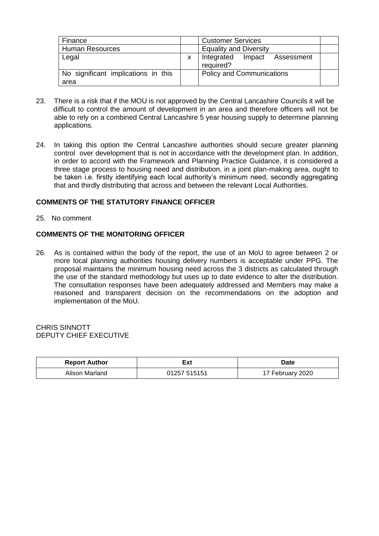| Finance                                     |   | <b>Customer Services</b>                     |  |  |
|---------------------------------------------|---|----------------------------------------------|--|--|
| <b>Human Resources</b>                      |   | <b>Equality and Diversity</b>                |  |  |
| Legal                                       | X | Integrated<br>Impact Assessment<br>required? |  |  |
| No significant implications in this<br>area |   | <b>Policy and Communications</b>             |  |  |

- 23. There is a risk that if the MOU is not approved by the Central Lancashire Councils it will be difficult to control the amount of development in an area and therefore officers will not be able to rely on a combined Central Lancashire 5 year housing supply to determine planning applications.
- 24. In taking this option the Central Lancashire authorities should secure greater planning control over development that is not in accordance with the development plan. In addition, in order to accord with the Framework and Planning Practice Guidance, it is considered a three stage process to housing need and distribution, in a joint plan-making area, ought to be taken i.e. firstly identifying each local authority's minimum need, secondly aggregating that and thirdly distributing that across and between the relevant Local Authorities.

# **COMMENTS OF THE STATUTORY FINANCE OFFICER**

25. No comment

### **COMMENTS OF THE MONITORING OFFICER**

26. As is contained within the body of the report, the use of an MoU to agree between 2 or more local planning authorities housing delivery numbers is acceptable under PPG. The proposal maintains the minimum housing need across the 3 districts as calculated through the use of the standard methodology but uses up to date evidence to alter the distribution. The consultation responses have been adequately addressed and Members may make a reasoned and transparent decision on the recommendations on the adoption and implementation of the MoU.

### CHRIS SINNOTT DEPUTY CHIEF EXECUTIVE

| <b>Report Author</b> | Ξxt          | Date          |
|----------------------|--------------|---------------|
| Alison Marland       | 01257 515151 | February 2020 |